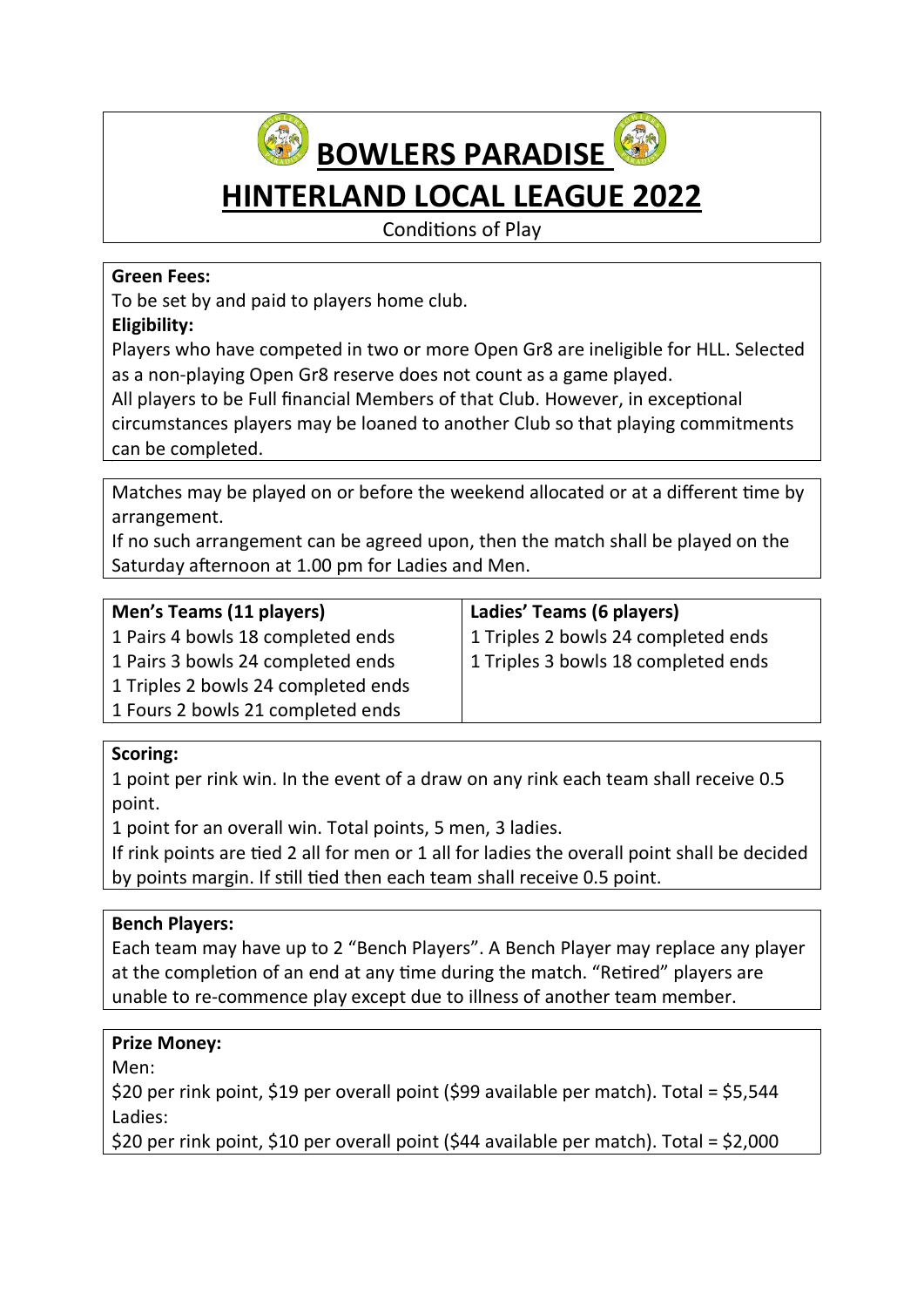

# HINTERLAND LOCAL LEAGUE 2022

Conditions of Play

#### Green Fees:

To be set by and paid to players home club.

# Eligibility:

Players who have competed in two or more Open Gr8 are ineligible for HLL. Selected as a non-playing Open Gr8 reserve does not count as a game played.

All players to be Full financial Members of that Club. However, in exceptional circumstances players may be loaned to another Club so that playing commitments can be completed.

Matches may be played on or before the weekend allocated or at a different time by arrangement.

If no such arrangement can be agreed upon, then the match shall be played on the Saturday afternoon at 1.00 pm for Ladies and Men.

| Men's Teams (11 players)            | Ladies' Teams (6 players)           |
|-------------------------------------|-------------------------------------|
| 1 Pairs 4 bowls 18 completed ends   | 1 Triples 2 bowls 24 completed ends |
| 1 Pairs 3 bowls 24 completed ends   | 1 Triples 3 bowls 18 completed ends |
| 1 Triples 2 bowls 24 completed ends |                                     |
| 1 Fours 2 bowls 21 completed ends   |                                     |
|                                     |                                     |

# Scoring:

1 point per rink win. In the event of a draw on any rink each team shall receive 0.5 point.

1 point for an overall win. Total points, 5 men, 3 ladies.

If rink points are tied 2 all for men or 1 all for ladies the overall point shall be decided by points margin. If still tied then each team shall receive 0.5 point.

# Bench Players:

Each team may have up to 2 "Bench Players". A Bench Player may replace any player at the completion of an end at any time during the match. "Retired" players are unable to re-commence play except due to illness of another team member.

# Prize Money:

Men:

\$20 per rink point, \$19 per overall point (\$99 available per match). Total = \$5,544 Ladies:

\$20 per rink point, \$10 per overall point (\$44 available per match). Total = \$2,000